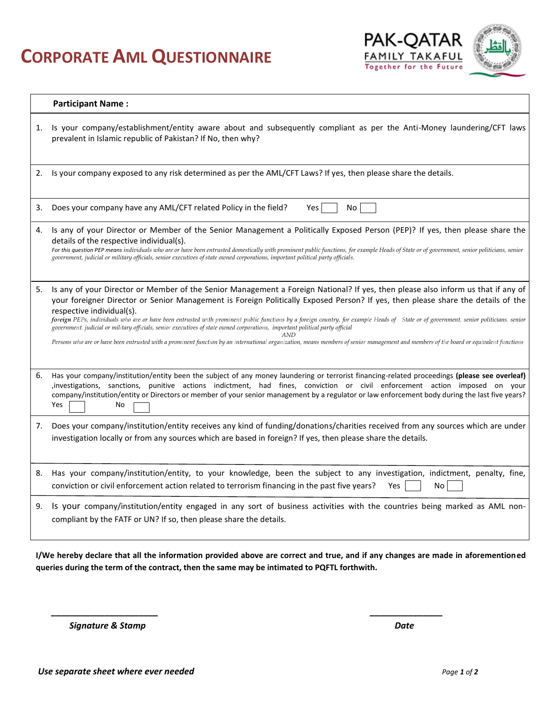## **CORPORATE AML QUESTIONNAIRE**



|    | <b>Participant Name:</b>                                                                                                                                                                                                                                                                                                                                                                                                                                                                                                                                                                                                                                                                                                                                                                                               |
|----|------------------------------------------------------------------------------------------------------------------------------------------------------------------------------------------------------------------------------------------------------------------------------------------------------------------------------------------------------------------------------------------------------------------------------------------------------------------------------------------------------------------------------------------------------------------------------------------------------------------------------------------------------------------------------------------------------------------------------------------------------------------------------------------------------------------------|
| 1. | Is your company/establishment/entity aware about and subsequently compliant as per the Anti-Money laundering/CFT laws<br>prevalent in Islamic republic of Pakistan? If No, then why?                                                                                                                                                                                                                                                                                                                                                                                                                                                                                                                                                                                                                                   |
| 2. | Is your company exposed to any risk determined as per the AML/CFT Laws? If yes, then please share the details.                                                                                                                                                                                                                                                                                                                                                                                                                                                                                                                                                                                                                                                                                                         |
| 3. | Does your company have any AML/CFT related Policy in the field?<br>Yes<br>No.                                                                                                                                                                                                                                                                                                                                                                                                                                                                                                                                                                                                                                                                                                                                          |
| 4. | Is any of your Director or Member of the Senior Management a Politically Exposed Person (PEP)? If yes, then please share the<br>details of the respective individual(s).<br>For this question PEP means individuals who are or have been entrusted domestically with prominent public functions, for example Heads of State or of government, senior politicians, senior<br>government, judicial or military officials, senior executives of state owned corporations, important political party officials.                                                                                                                                                                                                                                                                                                            |
| 5. | Is any of your Director or Member of the Senior Management a Foreign National? If yes, then please also inform us that if any of<br>your foreigner Director or Senior Management is Foreign Politically Exposed Person? If yes, then please share the details of the<br>respective individual(s).<br>foreign PEPs, individuals who are or have been entrusted with prominent public functions by a foreign country, for example Heads of State or of government, senior politicians, senior<br>government, judicial or military officials, senior executives of state owned corporations, important political party official<br>Persons who are or have been entrusted with a prominent function by an international organization, means members of senior management and members of the board or equivalent functions |
| 6. | Has your company/institution/entity been the subject of any money laundering or terrorist financing-related proceedings (please see overleaf)<br>investigations, sanctions, punitive actions indictment, had fines, conviction or civil enforcement action imposed on your<br>company/institution/entity or Directors or member of your senior management by a regulator or law enforcement body during the last five years?<br>Yes<br>No                                                                                                                                                                                                                                                                                                                                                                              |
| 7. | Does your company/institution/entity receives any kind of funding/donations/charities received from any sources which are under<br>investigation locally or from any sources which are based in foreign? If yes, then please share the details.                                                                                                                                                                                                                                                                                                                                                                                                                                                                                                                                                                        |
| 8. | Has your company/institution/entity, to your knowledge, been the subject to any investigation, indictment, penalty, fine,<br>conviction or civil enforcement action related to terrorism financing in the past five years?<br><b>Yes</b><br>No                                                                                                                                                                                                                                                                                                                                                                                                                                                                                                                                                                         |
| 9. | Is your company/institution/entity engaged in any sort of business activities with the countries being marked as AML non-<br>compliant by the FATF or UN? If so, then please share the details.                                                                                                                                                                                                                                                                                                                                                                                                                                                                                                                                                                                                                        |

**I/We hereby declare that all the information provided above are correct and true, and if any changes are made in aforementioned queries during the term of the contract, then the same may be intimated to PQFTL forthwith.**

*\_\_\_\_\_\_\_\_\_\_\_\_\_\_\_\_\_\_\_\_\_\_ \_\_\_\_\_\_\_\_\_\_\_\_\_\_\_*

 *Signature & Stamp Date*